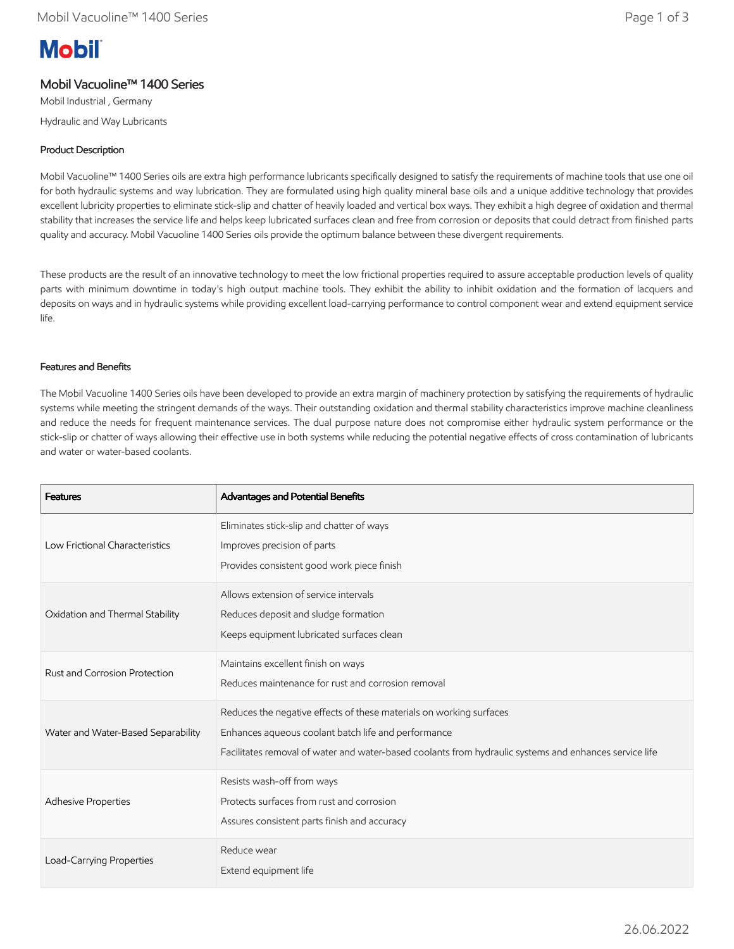# **Mobil**

# Mobil Vacuoline™ 1400 Series

Mobil Industrial , Germany Hydraulic and Way Lubricants

# Product Description

Mobil Vacuoline™ 1400 Series oils are extra high performance lubricants specifically designed to satisfy the requirements of machine tools that use one oil for both hydraulic systems and way lubrication. They are formulated using high quality mineral base oils and a unique additive technology that provides excellent lubricity properties to eliminate stick-slip and chatter of heavily loaded and vertical box ways. They exhibit a high degree of oxidation and thermal stability that increases the service life and helps keep lubricated surfaces clean and free from corrosion or deposits that could detract from finished parts quality and accuracy. Mobil Vacuoline 1400 Series oils provide the optimum balance between these divergent requirements.

These products are the result of an innovative technology to meet the low frictional properties required to assure acceptable production levels of quality parts with minimum downtime in today's high output machine tools. They exhibit the ability to inhibit oxidation and the formation of lacquers and deposits on ways and in hydraulic systems while providing excellent load-carrying performance to control component wear and extend equipment service life.

## Features and Benefits

The Mobil Vacuoline 1400 Series oils have been developed to provide an extra margin of machinery protection by satisfying the requirements of hydraulic systems while meeting the stringent demands of the ways. Their outstanding oxidation and thermal stability characteristics improve machine cleanliness and reduce the needs for frequent maintenance services. The dual purpose nature does not compromise either hydraulic system performance or the stick-slip or chatter of ways allowing their effective use in both systems while reducing the potential negative effects of cross contamination of lubricants and water or water-based coolants.

| <b>Features</b>                    | Advantages and Potential Benefits                                                                                                                                                                                                    |
|------------------------------------|--------------------------------------------------------------------------------------------------------------------------------------------------------------------------------------------------------------------------------------|
| Low Frictional Characteristics     | Eliminates stick-slip and chatter of ways<br>Improves precision of parts<br>Provides consistent good work piece finish                                                                                                               |
| Oxidation and Thermal Stability    | Allows extension of service intervals<br>Reduces deposit and sludge formation<br>Keeps equipment lubricated surfaces clean                                                                                                           |
| Rust and Corrosion Protection      | Maintains excellent finish on ways<br>Reduces maintenance for rust and corrosion removal                                                                                                                                             |
| Water and Water-Based Separability | Reduces the negative effects of these materials on working surfaces<br>Enhances aqueous coolant batch life and performance<br>Facilitates removal of water and water-based coolants from hydraulic systems and enhances service life |
| Adhesive Properties                | Resists wash-off from ways<br>Protects surfaces from rust and corrosion<br>Assures consistent parts finish and accuracy                                                                                                              |
| Load-Carrying Properties           | Reduce wear<br>Extend equipment life                                                                                                                                                                                                 |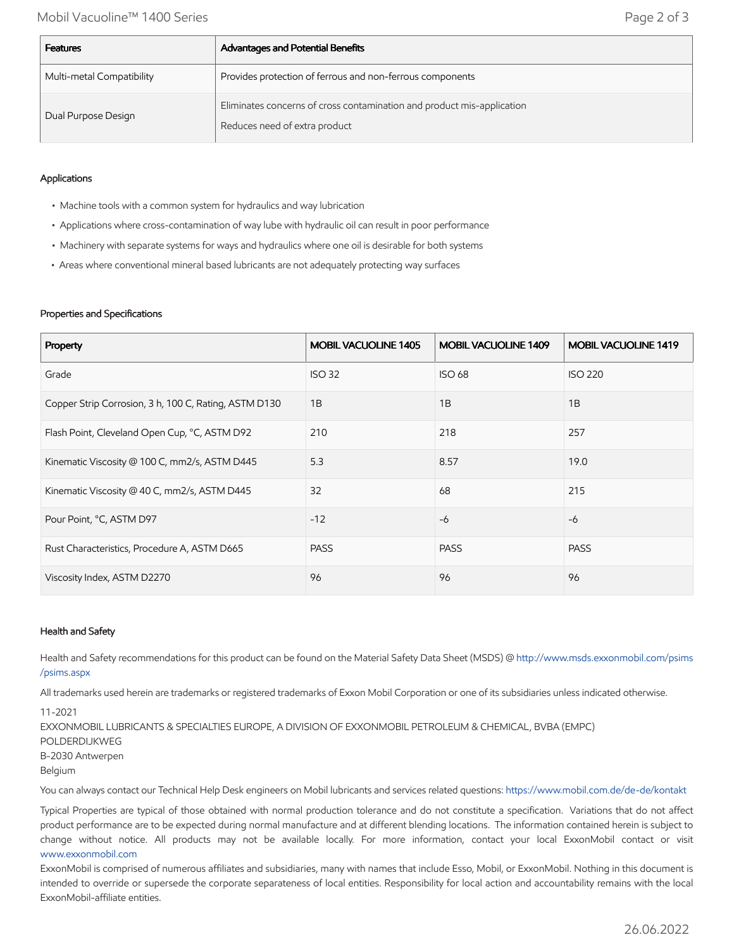| <b>Features</b>           | Advantages and Potential Benefits                                                                       |
|---------------------------|---------------------------------------------------------------------------------------------------------|
| Multi-metal Compatibility | Provides protection of ferrous and non-ferrous components                                               |
| Dual Purpose Design       | Eliminates concerns of cross contamination and product mis-application<br>Reduces need of extra product |

## Applications

- Machine tools with a common system for hydraulics and way lubrication
- Applications where cross-contamination of way lube with hydraulic oil can result in poor performance
- Machinery with separate systems for ways and hydraulics where one oil is desirable for both systems
- Areas where conventional mineral based lubricants are not adequately protecting way surfaces

### Properties and Specifications

| Property                                              | <b>MOBIL VACUOLINE 1405</b> | <b>MOBIL VACUOLINE 1409</b> | <b>MOBIL VACUOLINE 1419</b> |
|-------------------------------------------------------|-----------------------------|-----------------------------|-----------------------------|
| Grade                                                 | <b>ISO 32</b>               | <b>ISO 68</b>               | <b>ISO 220</b>              |
| Copper Strip Corrosion, 3 h, 100 C, Rating, ASTM D130 | 1B                          | 1B                          | 1B                          |
| Flash Point, Cleveland Open Cup, °C, ASTM D92         | 210                         | 218                         | 257                         |
| Kinematic Viscosity @ 100 C, mm2/s, ASTM D445         | 5.3                         | 8.57                        | 19.0                        |
| Kinematic Viscosity @ 40 C, mm2/s, ASTM D445          | 32                          | 68                          | 215                         |
| Pour Point, °C, ASTM D97                              | $-12$                       | $-6$                        | -6                          |
| Rust Characteristics, Procedure A, ASTM D665          | <b>PASS</b>                 | <b>PASS</b>                 | <b>PASS</b>                 |
| Viscosity Index, ASTM D2270                           | 96                          | 96                          | 96                          |

### Health and Safety

Health and Safety recommendations for this product can be found on the Material Safety Data Sheet (MSDS) @ [http://www.msds.exxonmobil.com/psims](http://www.msds.exxonmobil.com/psims/psims.aspx) /psims.aspx

All trademarks used herein are trademarks or registered trademarks of Exxon Mobil Corporation or one of its subsidiaries unless indicated otherwise.

11-2021

EXXONMOBIL LUBRICANTS & SPECIALTIES EUROPE, A DIVISION OF EXXONMOBIL PETROLEUM & CHEMICAL, BVBA (EMPC) POLDERDIJKWEG B-2030 Antwerpen Belgium

You can always contact our Technical Help Desk engineers on Mobil lubricants and services related questions:<https://www.mobil.com.de/de-de/kontakt>

Typical Properties are typical of those obtained with normal production tolerance and do not constitute a specification. Variations that do not affect product performance are to be expected during normal manufacture and at different blending locations. The information contained herein is subject to change without notice. All products may not be available locally. For more information, contact your local ExxonMobil contact or visit [www.exxonmobil.com](http://www.exxonmobil.com/)

ExxonMobil is comprised of numerous affiliates and subsidiaries, many with names that include Esso, Mobil, or ExxonMobil. Nothing in this document is intended to override or supersede the corporate separateness of local entities. Responsibility for local action and accountability remains with the local ExxonMobil-affiliate entities.